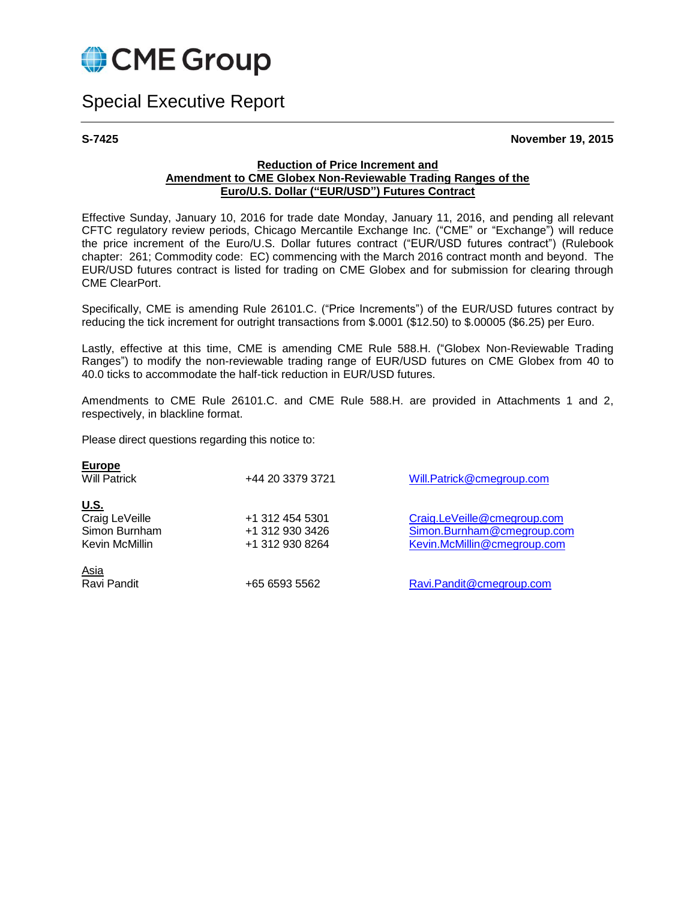

# Special Executive Report

**S-7425 November 19, 2015**

#### **Reduction of Price Increment and Amendment to CME Globex Non-Reviewable Trading Ranges of the Euro/U.S. Dollar ("EUR/USD") Futures Contract**

Effective Sunday, January 10, 2016 for trade date Monday, January 11, 2016, and pending all relevant CFTC regulatory review periods, Chicago Mercantile Exchange Inc. ("CME" or "Exchange") will reduce the price increment of the Euro/U.S. Dollar futures contract ("EUR/USD futures contract") (Rulebook chapter: 261; Commodity code: EC) commencing with the March 2016 contract month and beyond. The EUR/USD futures contract is listed for trading on CME Globex and for submission for clearing through CME ClearPort.

Specifically, CME is amending Rule 26101.C. ("Price Increments") of the EUR/USD futures contract by reducing the tick increment for outright transactions from \$.0001 (\$12.50) to \$.00005 (\$6.25) per Euro.

Lastly, effective at this time, CME is amending CME Rule 588.H. ("Globex Non-Reviewable Trading Ranges") to modify the non-reviewable trading range of EUR/USD futures on CME Globex from 40 to 40.0 ticks to accommodate the half-tick reduction in EUR/USD futures.

Amendments to CME Rule 26101.C. and CME Rule 588.H. are provided in Attachments 1 and 2, respectively, in blackline format.

Please direct questions regarding this notice to:

| <b>Europe</b><br><b>Will Patrick</b> | +44 20 3379 3721 | Will.Patrick@cmegroup.com   |  |
|--------------------------------------|------------------|-----------------------------|--|
| <u>U.S.</u>                          |                  |                             |  |
| Craig LeVeille                       | +1 312 454 5301  | Craig.LeVeille@cmegroup.com |  |
| Simon Burnham                        | +1 312 930 3426  | Simon.Burnham@cmegroup.com  |  |
| Kevin McMillin                       | +1 312 930 8264  | Kevin.McMillin@cmegroup.com |  |
| <u>Asia</u>                          |                  |                             |  |
| Ravi Pandit                          | +65 6593 5562    | Ravi.Pandit@cmegroup.com    |  |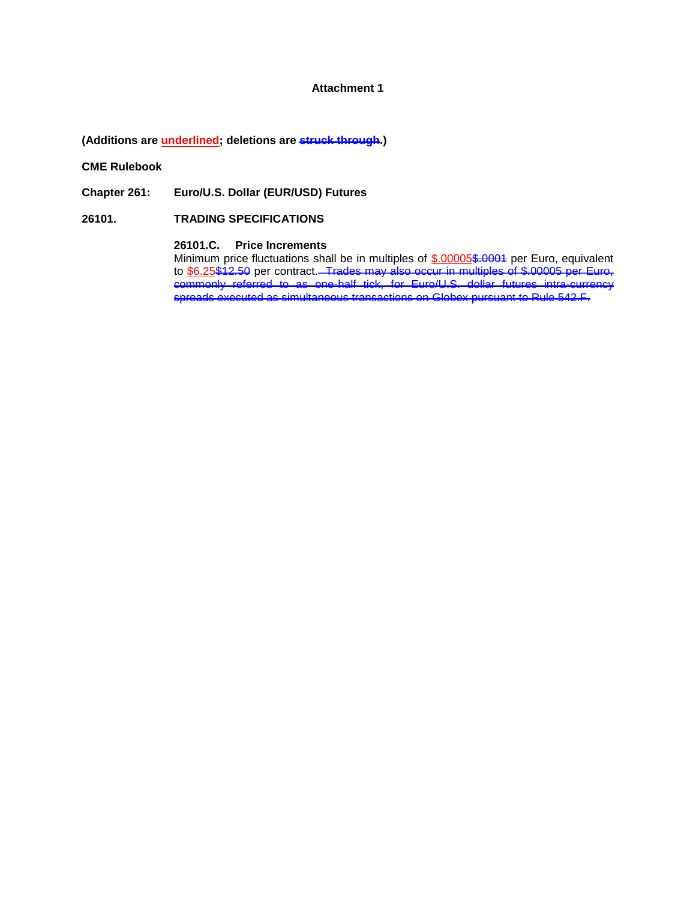#### **Attachment 1**

**(Additions are underlined; deletions are struck through.)**

**CME Rulebook**

**Chapter 261: Euro/U.S. Dollar (EUR/USD) Futures**

**26101. TRADING SPECIFICATIONS**

#### **26101.C. Price Increments**

Minimum price fluctuations shall be in multiples of \$.00005\$.0004 per Euro, equivalent to <u>\$6.25\$12.50</u> per contract.<del>– Trades may also occur in multiples of \$.00005 per Euro,</del> commonly referred to as one-half tick, for Euro/U.S. dollar futures intra-currency spreads executed as simultaneous transactions on Globex pursuant to Rule 542.F.